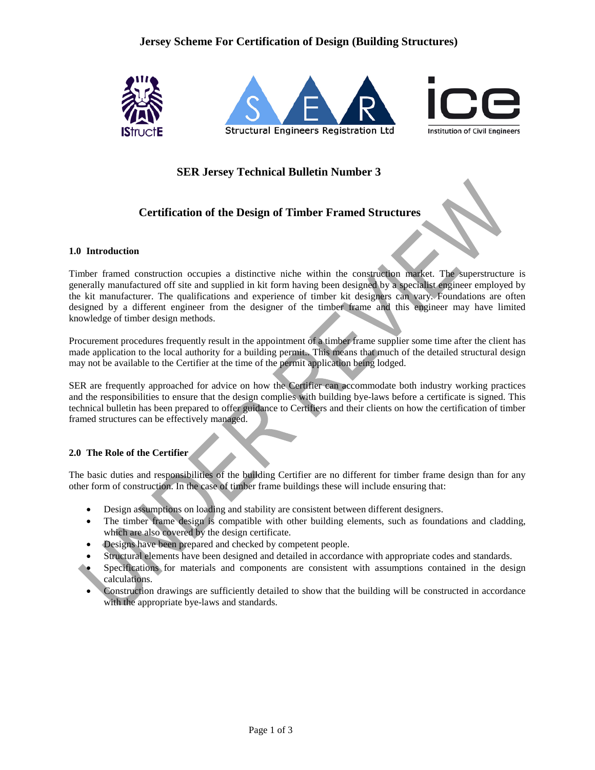# **Jersey Scheme For Certification of Design (Building Structures)**



# **SER Jersey Technical Bulletin Number 3**

# **Certification of the Design of Timber Framed Structures**

#### **1.0 Introduction**

Timber framed construction occupies a distinctive niche within the construction market. The superstructure is generally manufactured off site and supplied in kit form having been designed by a specialist engineer employed by the kit manufacturer. The qualifications and experience of timber kit designers can vary. Foundations are often designed by a different engineer from the designer of the timber frame and this engineer may have limited knowledge of timber design methods.

Procurement procedures frequently result in the appointment of a timber frame supplier some time after the client has made application to the local authority for a building permit.. This means that much of the detailed structural design may not be available to the Certifier at the time of the permit application being lodged.

SER are frequently approached for advice on how the Certifier can accommodate both industry working practices and the responsibilities to ensure that the design complies with building bye-laws before a certificate is signed. This technical bulletin has been prepared to offer guidance to Certifiers and their clients on how the certification of timber framed structures can be effectively managed.

### **2.0 The Role of the Certifier**

The basic duties and responsibilities of the building Certifier are no different for timber frame design than for any other form of construction. In the case of timber frame buildings these will include ensuring that:

- Design assumptions on loading and stability are consistent between different designers.
- The timber frame design is compatible with other building elements, such as foundations and cladding, which are also covered by the design certificate.
- Designs have been prepared and checked by competent people.
- Structural elements have been designed and detailed in accordance with appropriate codes and standards.
- Specifications for materials and components are consistent with assumptions contained in the design calculations.
- Construction drawings are sufficiently detailed to show that the building will be constructed in accordance with the appropriate bye-laws and standards.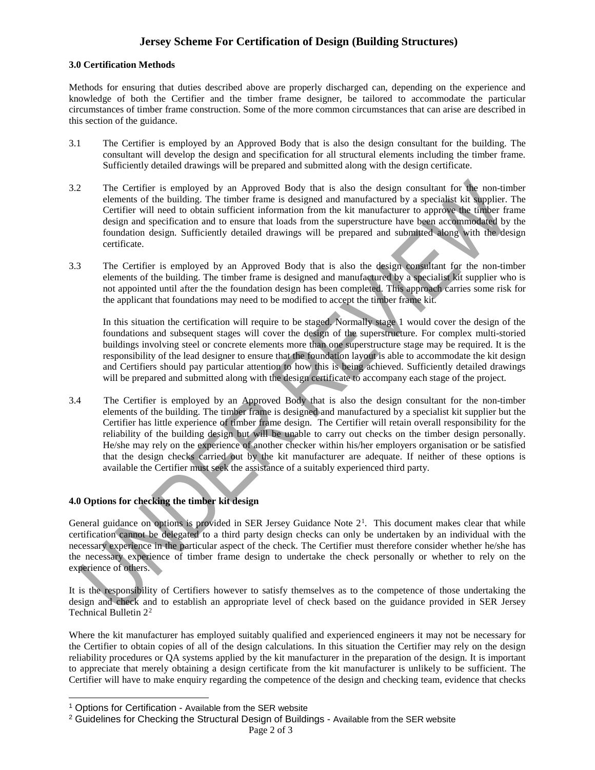# **Jersey Scheme For Certification of Design (Building Structures)**

### **3.0 Certification Methods**

Methods for ensuring that duties described above are properly discharged can, depending on the experience and knowledge of both the Certifier and the timber frame designer, be tailored to accommodate the particular circumstances of timber frame construction. Some of the more common circumstances that can arise are described in this section of the guidance.

- 3.1 The Certifier is employed by an Approved Body that is also the design consultant for the building. The consultant will develop the design and specification for all structural elements including the timber frame. Sufficiently detailed drawings will be prepared and submitted along with the design certificate.
- 3.2 The Certifier is employed by an Approved Body that is also the design consultant for the non-timber elements of the building. The timber frame is designed and manufactured by a specialist kit supplier. The Certifier will need to obtain sufficient information from the kit manufacturer to approve the timber frame design and specification and to ensure that loads from the superstructure have been accommodated by the foundation design. Sufficiently detailed drawings will be prepared and submitted along with the design certificate.
- 3.3 The Certifier is employed by an Approved Body that is also the design consultant for the non-timber elements of the building. The timber frame is designed and manufactured by a specialist kit supplier who is not appointed until after the the foundation design has been completed. This approach carries some risk for the applicant that foundations may need to be modified to accept the timber frame kit.

In this situation the certification will require to be staged. Normally stage 1 would cover the design of the foundations and subsequent stages will cover the design of the superstructure. For complex multi-storied buildings involving steel or concrete elements more than one superstructure stage may be required. It is the responsibility of the lead designer to ensure that the foundation layout is able to accommodate the kit design and Certifiers should pay particular attention to how this is being achieved. Sufficiently detailed drawings will be prepared and submitted along with the design certificate to accompany each stage of the project.

3.4 The Certifier is employed by an Approved Body that is also the design consultant for the non-timber elements of the building. The timber frame is designed and manufactured by a specialist kit supplier but the Certifier has little experience of timber frame design. The Certifier will retain overall responsibility for the reliability of the building design but will be unable to carry out checks on the timber design personally. He/she may rely on the experience of another checker within his/her employers organisation or be satisfied that the design checks carried out by the kit manufacturer are adequate. If neither of these options is available the Certifier must seek the assistance of a suitably experienced third party.

### **4.0 Options for checking the timber kit design**

General guidance on options is provided in SER Jersey Guidance Note  $2<sup>1</sup>$  $2<sup>1</sup>$  $2<sup>1</sup>$ . This document makes clear that while certification cannot be delegated to a third party design checks can only be undertaken by an individual with the necessary experience in the particular aspect of the check. The Certifier must therefore consider whether he/she has the necessary experience of timber frame design to undertake the check personally or whether to rely on the experience of others.

It is the responsibility of Certifiers however to satisfy themselves as to the competence of those undertaking the design and check and to establish an appropriate level of check based on the guidance provided in SER Jersey Technical Bulletin 2[2](#page-1-1)

Where the kit manufacturer has employed suitably qualified and experienced engineers it may not be necessary for the Certifier to obtain copies of all of the design calculations. In this situation the Certifier may rely on the design reliability procedures or QA systems applied by the kit manufacturer in the preparation of the design. It is important to appreciate that merely obtaining a design certificate from the kit manufacturer is unlikely to be sufficient. The Certifier will have to make enquiry regarding the competence of the design and checking team, evidence that checks

<span id="page-1-0"></span> <sup>1</sup> Options for Certification - Available from the SER website

<span id="page-1-1"></span><sup>&</sup>lt;sup>2</sup> Guidelines for Checking the Structural Design of Buildings - Available from the SER website